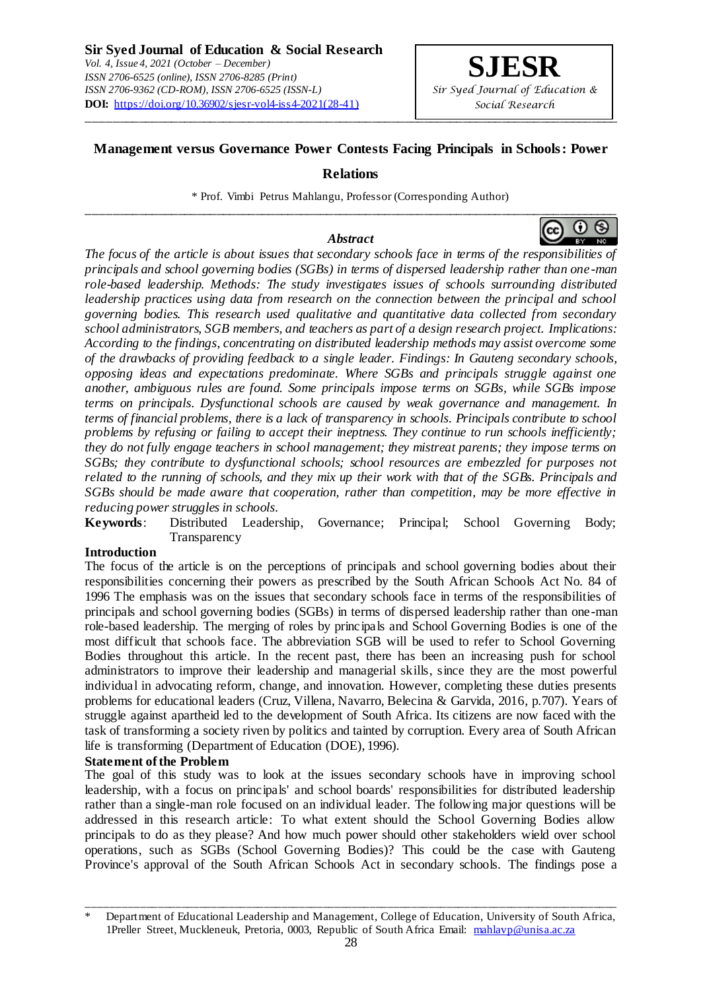

# **Management versus Governance Power Contests Facing Principals in Schools: Power**

### **Relations**

\* Prof. Vimbi Petrus Mahlangu, Professor (Corresponding Author) \_\_\_\_\_\_\_\_\_\_\_\_\_\_\_\_\_\_\_\_\_\_\_\_\_\_\_\_\_\_\_\_\_\_\_\_\_\_\_\_\_\_\_\_\_\_\_\_\_\_\_\_\_\_\_\_\_\_\_\_\_\_\_\_\_\_\_\_\_\_\_\_\_\_\_\_\_\_\_\_\_\_

## *Abstract*

*The focus of the article is about issues that secondary schools face in terms of the responsibilities of principals and school governing bodies (SGBs) in terms of dispersed leadership rather than one -man role-based leadership. Methods: The study investigates issues of schools surrounding distributed leadership practices using data from research on the connection between the principal and school governing bodies. This research used qualitative and quantitative data collected from secondary school administrators, SGB members, and teachers as part of a design research project. Implications: According to the findings, concentrating on distributed leadership methods may assist overcome some of the drawbacks of providing feedback to a single leader. Findings: In Gauteng secondary schools, opposing ideas and expectations predominate. Where SGBs and principals struggle against one another, ambiguous rules are found. Some principals impose terms on SGBs, while SGBs impose terms on principals. Dysfunctional schools are caused by weak governance and management. In terms of financial problems, there is a lack of transparency in schools. Principals contribute to school problems by refusing or failing to accept their ineptness. They continue to run schools inefficiently; they do not fully engage teachers in school management; they mistreat parents; they impose terms on SGBs; they contribute to dysfunctional schools; school resources are embezzled for purposes not related to the running of schools, and they mix up their work with that of the SGBs. Principals and SGBs should be made aware that cooperation, rather than competition, may be more effective in reducing power struggles in schools.*

**Keywords**: Distributed Leadership, Governance; Principal; School Governing Body; Transparency

### **Introduction**

The focus of the article is on the perceptions of principals and school governing bodies about their responsibilities concerning their powers as prescribed by the South African Schools Act No. 84 of 1996 The emphasis was on the issues that secondary schools face in terms of the responsibilities of principals and school governing bodies (SGBs) in terms of dispersed leadership rather than one-man role-based leadership. The merging of roles by principals and School Governing Bodies is one of the most difficult that schools face. The abbreviation SGB will be used to refer to School Governing Bodies throughout this article. In the recent past, there has been an increasing push for school administrators to improve their leadership and managerial skills, since they are the most powerful individual in advocating reform, change, and innovation. However, completing these duties presents problems for educational leaders (Cruz, Villena, Navarro, Belecina & Garvida, 2016, p.707). Years of struggle against apartheid led to the development of South Africa. Its citizens are now faced with the task of transforming a society riven by politics and tainted by corruption. Every area of South African life is transforming (Department of Education (DOE), 1996).

### **Statement of the Problem**

The goal of this study was to look at the issues secondary schools have in improving school leadership, with a focus on principals' and school boards' responsibilities for distributed leadership rather than a single-man role focused on an individual leader. The following major questions will be addressed in this research article: To what extent should the School Governing Bodies allow principals to do as they please? And how much power should other stakeholders wield over school operations, such as SGBs (School Governing Bodies)? This could be the case with Gauteng Province's approval of the South African Schools Act in secondary schools. The findings pose a



\_\_\_\_\_\_\_\_\_\_\_\_\_\_\_\_\_\_\_\_\_\_\_\_\_\_\_\_\_\_\_\_\_\_\_\_\_\_\_\_\_\_\_\_\_\_\_\_\_\_\_\_\_\_\_\_\_\_\_\_\_\_\_\_\_\_\_\_\_\_\_\_\_\_\_\_\_\_\_\_\_\_\_\_\_\_\_\_\_\_ Department of Educational Leadership and Management, College of Education, University of South Africa, 1Preller Street, Muckleneuk, Pretoria, 0003, Republic of South Africa Email: mahlavp@unisa.ac.za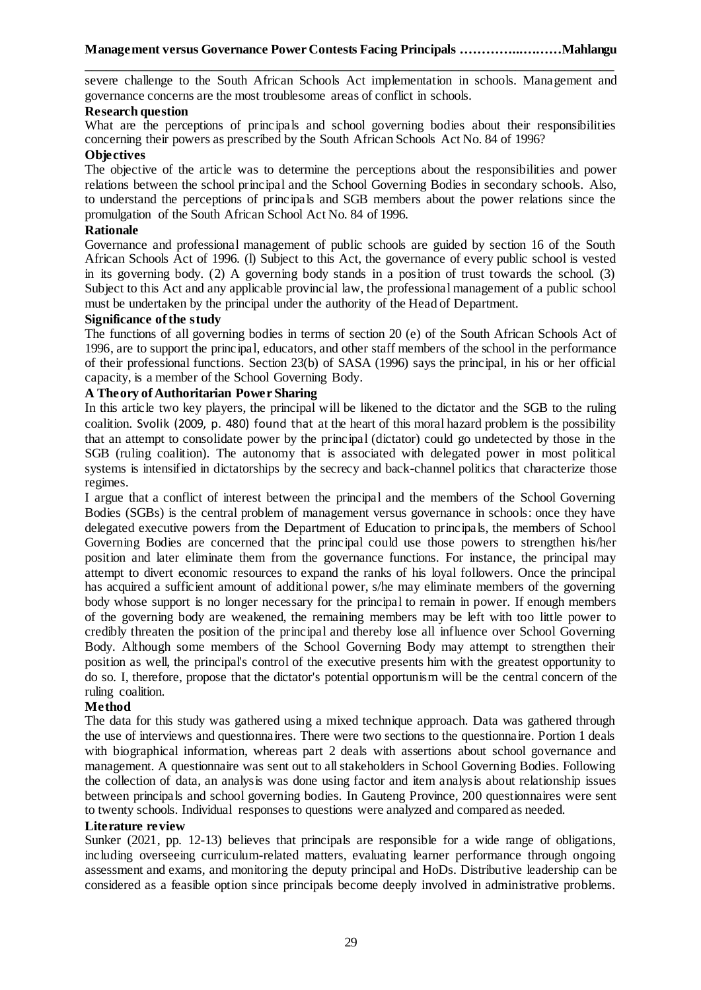**\_\_\_\_\_\_\_\_\_\_\_\_\_\_\_\_\_\_\_\_\_\_\_\_\_\_\_\_\_\_\_\_\_\_\_\_\_\_\_\_\_\_\_\_\_\_\_\_\_\_\_\_\_\_\_\_\_\_\_\_\_\_\_\_\_\_\_\_\_\_\_\_\_\_\_** severe challenge to the South African Schools Act implementation in schools. Management and governance concerns are the most troublesome areas of conflict in schools.

### **Research question**

What are the perceptions of principals and school governing bodies about their responsibilities concerning their powers as prescribed by the South African Schools Act No. 84 of 1996?

### **Objectives**

The objective of the article was to determine the perceptions about the responsibilities and power relations between the school principal and the School Governing Bodies in secondary schools. Also, to understand the perceptions of principals and SGB members about the power relations since the promulgation of the South African School Act No. 84 of 1996.

## **Rationale**

Governance and professional management of public schools are guided by section 16 of the South African Schools Act of 1996. (l) Subject to this Act, the governance of every public school is vested in its governing body. (2) A governing body stands in a position of trust towards the school. (3) Subject to this Act and any applicable provincial law, the professional management of a public school must be undertaken by the principal under the authority of the Head of Department.

# **Significance of the study**

The functions of all governing bodies in terms of section 20 (e) of the South African Schools Act of 1996, are to support the principal, educators, and other staff members of the school in the performance of their professional functions. Section 23(b) of SASA (1996) says the principal, in his or her official capacity, is a member of the School Governing Body.

## **A Theory of Authoritarian Power Sharing**

In this article two key players, the principal will be likened to the dictator and the SGB to the ruling coalition. Svolik (2009, p. 480) found that at the heart of this moral hazard problem is the possibility that an attempt to consolidate power by the principal (dictator) could go undetected by those in the SGB (ruling coalition). The autonomy that is associated with delegated power in most political systems is intensified in dictatorships by the secrecy and back-channel politics that characterize those regimes.

I argue that a conflict of interest between the principal and the members of the School Governing Bodies (SGBs) is the central problem of management versus governance in schools: once they have delegated executive powers from the Department of Education to principals, the members of School Governing Bodies are concerned that the principal could use those powers to strengthen his/her position and later eliminate them from the governance functions. For instance, the principal may attempt to divert economic resources to expand the ranks of his loyal followers. Once the principal has acquired a sufficient amount of additional power, s/he may eliminate members of the governing body whose support is no longer necessary for the principal to remain in power. If enough members of the governing body are weakened, the remaining members may be left with too little power to credibly threaten the position of the principal and thereby lose all influence over School Governing Body. Although some members of the School Governing Body may attempt to strengthen their position as well, the principal's control of the executive presents him with the greatest opportunity to do so. I, therefore, propose that the dictator's potential opportunism will be the central concern of the ruling coalition.

### **Method**

The data for this study was gathered using a mixed technique approach. Data was gathered through the use of interviews and questionnaires. There were two sections to the questionnaire. Portion 1 deals with biographical information, whereas part 2 deals with assertions about school governance and management. A questionnaire was sent out to all stakeholders in School Governing Bodies. Following the collection of data, an analysis was done using factor and item analysis about relationship issues between principals and school governing bodies. In Gauteng Province, 200 questionnaires were sent to twenty schools. Individual responses to questions were analyzed and compared as needed.

### **Literature review**

Sunker (2021, pp. 12-13) believes that principals are responsible for a wide range of obligations, including overseeing curriculum-related matters, evaluating learner performance through ongoing assessment and exams, and monitoring the deputy principal and HoDs. Distributive leadership can be considered as a feasible option since principals become deeply involved in administrative problems.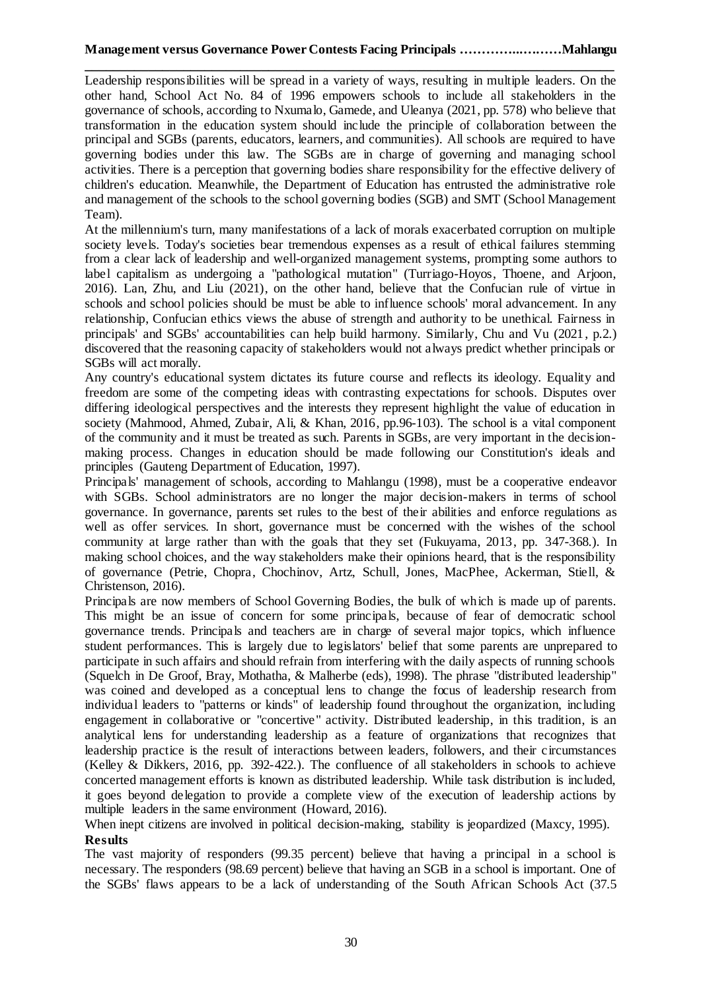**\_\_\_\_\_\_\_\_\_\_\_\_\_\_\_\_\_\_\_\_\_\_\_\_\_\_\_\_\_\_\_\_\_\_\_\_\_\_\_\_\_\_\_\_\_\_\_\_\_\_\_\_\_\_\_\_\_\_\_\_\_\_\_\_\_\_\_\_\_\_\_\_\_\_\_** Leadership responsibilities will be spread in a variety of ways, resulting in multiple leaders. On the other hand, School Act No. 84 of 1996 empowers schools to include all stakeholders in the governance of schools, according to Nxumalo, Gamede, and Uleanya (2021, pp. 578) who believe that transformation in the education system should include the principle of collaboration between the principal and SGBs (parents, educators, learners, and communities). All schools are required to have governing bodies under this law. The SGBs are in charge of governing and managing school activities. There is a perception that governing bodies share responsibility for the effective delivery of children's education. Meanwhile, the Department of Education has entrusted the administrative role and management of the schools to the school governing bodies (SGB) and SMT (School Management Team).

At the millennium's turn, many manifestations of a lack of morals exacerbated corruption on multiple society levels. Today's societies bear tremendous expenses as a result of ethical failures stemming from a clear lack of leadership and well-organized management systems, prompting some authors to label capitalism as undergoing a "pathological mutation" (Turriago-Hoyos, Thoene, and Arjoon, 2016). Lan, Zhu, and Liu (2021), on the other hand, believe that the Confucian rule of virtue in schools and school policies should be must be able to influence schools' moral advancement. In any relationship, Confucian ethics views the abuse of strength and authority to be unethical. Fairness in principals' and SGBs' accountabilities can help build harmony. Similarly, Chu and Vu (2021, p.2.) discovered that the reasoning capacity of stakeholders would not always predict whether principals or SGBs will act morally.

Any country's educational system dictates its future course and reflects its ideology. Equality and freedom are some of the competing ideas with contrasting expectations for schools. Disputes over differing ideological perspectives and the interests they represent highlight the value of education in society (Mahmood, Ahmed, Zubair, Ali, & Khan, 2016, pp.96-103). The school is a vital component of the community and it must be treated as such. Parents in SGBs, are very important in the decisionmaking process. Changes in education should be made following our Constitution's ideals and principles (Gauteng Department of Education, 1997).

Principals' management of schools, according to Mahlangu (1998), must be a cooperative endeavor with SGBs. School administrators are no longer the major decision-makers in terms of school governance. In governance, parents set rules to the best of their abilities and enforce regulations as well as offer services. In short, governance must be concerned with the wishes of the school community at large rather than with the goals that they set (Fukuyama, 2013, pp. 347-368.). In making school choices, and the way stakeholders make their opinions heard, that is the responsibility of governance (Petrie, Chopra, Chochinov, Artz, Schull, Jones, MacPhee, Ackerman, Stiell, & Christenson, 2016).

Principals are now members of School Governing Bodies, the bulk of which is made up of parents. This might be an issue of concern for some principals, because of fear of democratic school governance trends. Principals and teachers are in charge of several major topics, which influence student performances. This is largely due to legislators' belief that some parents are unprepared to participate in such affairs and should refrain from interfering with the daily aspects of running schools (Squelch in De Groof, Bray, Mothatha, & Malherbe (eds), 1998). The phrase "distributed leadership" was coined and developed as a conceptual lens to change the focus of leadership research from individual leaders to "patterns or kinds" of leadership found throughout the organization, including engagement in collaborative or "concertive" activity. Distributed leadership, in this tradition, is an analytical lens for understanding leadership as a feature of organizations that recognizes that leadership practice is the result of interactions between leaders, followers, and their circumstances (Kelley & Dikkers, 2016, pp. 392-422.). The confluence of all stakeholders in schools to achieve concerted management efforts is known as distributed leadership. While task distribution is included, it goes beyond delegation to provide a complete view of the execution of leadership actions by multiple leaders in the same environment (Howard, 2016).

When inept citizens are involved in political decision-making, stability is jeopardized (Maxcy, 1995). **Results**

The vast majority of responders (99.35 percent) believe that having a principal in a school is necessary. The responders (98.69 percent) believe that having an SGB in a school is important. One of the SGBs' flaws appears to be a lack of understanding of the South African Schools Act (37.5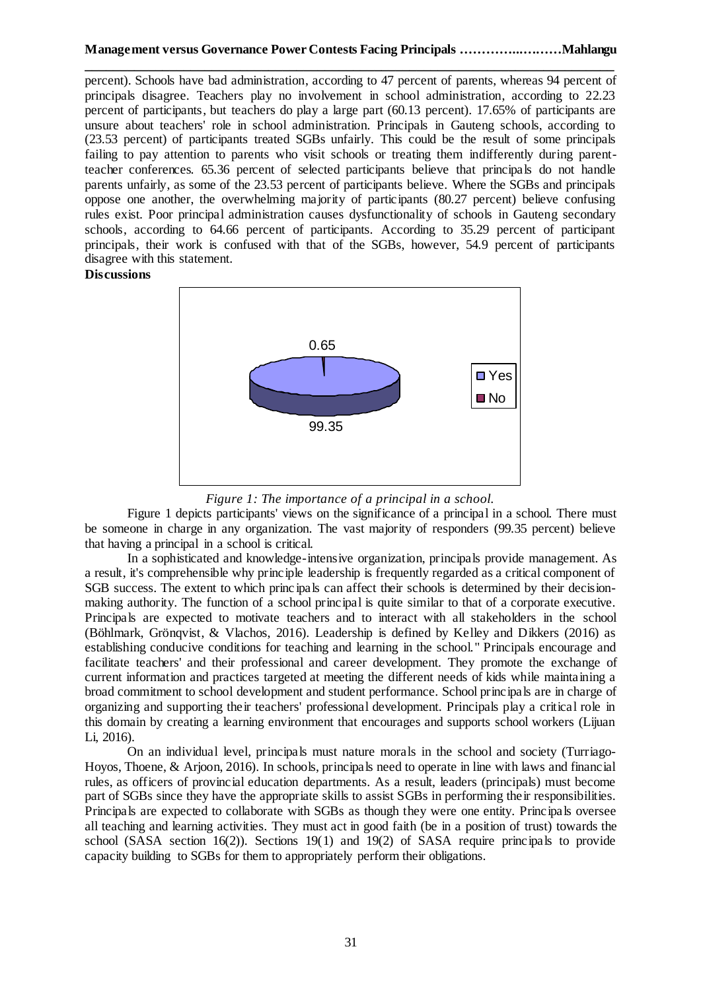**\_\_\_\_\_\_\_\_\_\_\_\_\_\_\_\_\_\_\_\_\_\_\_\_\_\_\_\_\_\_\_\_\_\_\_\_\_\_\_\_\_\_\_\_\_\_\_\_\_\_\_\_\_\_\_\_\_\_\_\_\_\_\_\_\_\_\_\_\_\_\_\_\_\_\_** percent). Schools have bad administration, according to 47 percent of parents, whereas 94 percent of principals disagree. Teachers play no involvement in school administration, according to 22.23 percent of participants, but teachers do play a large part (60.13 percent). 17.65% of participants are unsure about teachers' role in school administration. Principals in Gauteng schools, according to (23.53 percent) of participants treated SGBs unfairly. This could be the result of some principals failing to pay attention to parents who visit schools or treating them indifferently during parentteacher conferences. 65.36 percent of selected participants believe that principals do not handle parents unfairly, as some of the 23.53 percent of participants believe. Where the SGBs and principals oppose one another, the overwhelming majority of participants (80.27 percent) believe confusing rules exist. Poor principal administration causes dysfunctionality of schools in Gauteng secondary schools, according to 64.66 percent of participants. According to 35.29 percent of participant principals, their work is confused with that of the SGBs, however, 54.9 percent of participants disagree with this statement.

**Discussions**



*Figure 1: The importance of a principal in a school.*

Figure 1 depicts participants' views on the significance of a principal in a school. There must be someone in charge in any organization. The vast majority of responders (99.35 percent) believe that having a principal in a school is critical.

In a sophisticated and knowledge-intensive organization, principals provide management. As a result, it's comprehensible why principle leadership is frequently regarded as a critical component of SGB success. The extent to which princ ipals can affect their schools is determined by their decisionmaking authority. The function of a school principal is quite similar to that of a corporate executive. Principals are expected to motivate teachers and to interact with all stakeholders in the school (Böhlmark, Grönqvist, & Vlachos, 2016). Leadership is defined by Kelley and Dikkers (2016) as establishing conducive conditions for teaching and learning in the school." Principals encourage and facilitate teachers' and their professional and career development. They promote the exchange of current information and practices targeted at meeting the different needs of kids while maintaining a broad commitment to school development and student performance. School principals are in charge of organizing and supporting their teachers' professional development. Principals play a critical role in this domain by creating a learning environment that encourages and supports school workers (Lijuan Li, 2016).

On an individual level, principals must nature morals in the school and society (Turriago-Hoyos, Thoene, & Arjoon, 2016). In schools, principals need to operate in line with laws and financial rules, as officers of provincial education departments. As a result, leaders (principals) must become part of SGBs since they have the appropriate skills to assist SGBs in performing their responsibilities. Principals are expected to collaborate with SGBs as though they were one entity. Principals oversee all teaching and learning activities. They must act in good faith (be in a position of trust) towards the school (SASA section  $16(2)$ ). Sections 19(1) and 19(2) of SASA require principals to provide capacity building to SGBs for them to appropriately perform their obligations.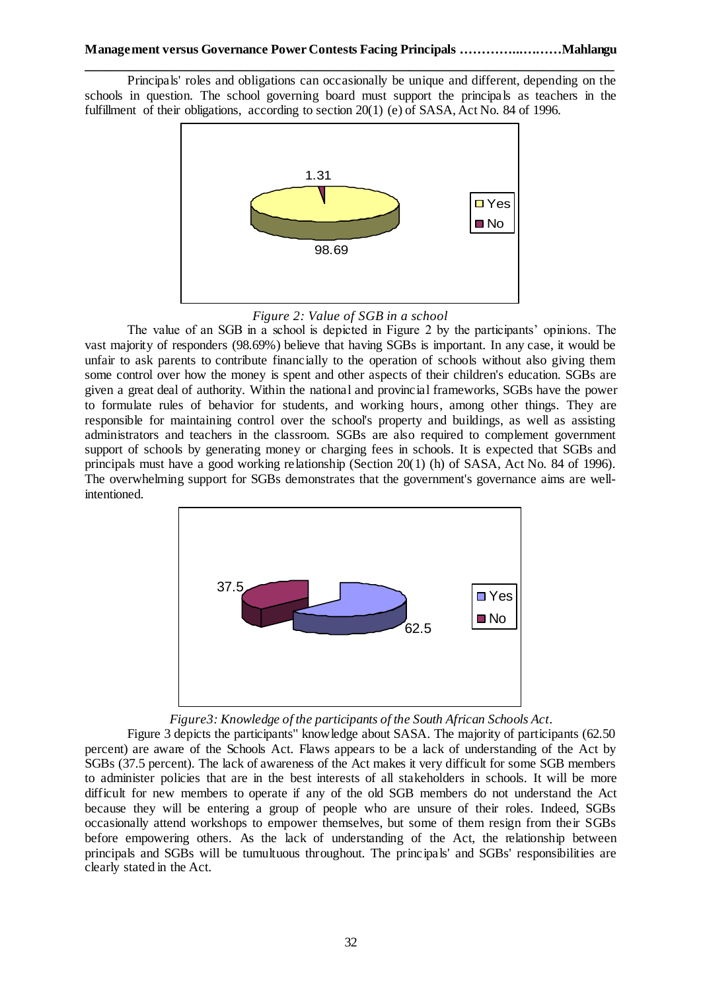**\_\_\_\_\_\_\_\_\_\_\_\_\_\_\_\_\_\_\_\_\_\_\_\_\_\_\_\_\_\_\_\_\_\_\_\_\_\_\_\_\_\_\_\_\_\_\_\_\_\_\_\_\_\_\_\_\_\_\_\_\_\_\_\_\_\_\_\_\_\_\_\_\_\_\_** Principals' roles and obligations can occasionally be unique and different, depending on the schools in question. The school governing board must support the principals as teachers in the fulfillment of their obligations, according to section 20(1) (e) of SASA, Act No. 84 of 1996.





The value of an SGB in a school is depicted in Figure 2 by the participants' opinions. The vast majority of responders (98.69%) believe that having SGBs is important. In any case, it would be unfair to ask parents to contribute financially to the operation of schools without also giving them some control over how the money is spent and other aspects of their children's education. SGBs are given a great deal of authority. Within the national and provincial frameworks, SGBs have the power to formulate rules of behavior for students, and working hours, among other things. They are responsible for maintaining control over the school's property and buildings, as well as assisting administrators and teachers in the classroom. SGBs are also required to complement government support of schools by generating money or charging fees in schools. It is expected that SGBs and principals must have a good working relationship (Section 20(1) (h) of SASA, Act No. 84 of 1996). The overwhelming support for SGBs demonstrates that the government's governance aims are wellintentioned.



*Figure3: Knowledge of the participants of the South African Schools Act.*

Figure 3 depicts the participants'' knowledge about SASA. The majority of participants (62.50 percent) are aware of the Schools Act. Flaws appears to be a lack of understanding of the Act by SGBs (37.5 percent). The lack of awareness of the Act makes it very difficult for some SGB members to administer policies that are in the best interests of all stakeholders in schools. It will be more difficult for new members to operate if any of the old SGB members do not understand the Act because they will be entering a group of people who are unsure of their roles. Indeed, SGBs occasionally attend workshops to empower themselves, but some of them resign from their SGBs before empowering others. As the lack of understanding of the Act, the relationship between principals and SGBs will be tumultuous throughout. The principals' and SGBs' responsibilities are clearly stated in the Act.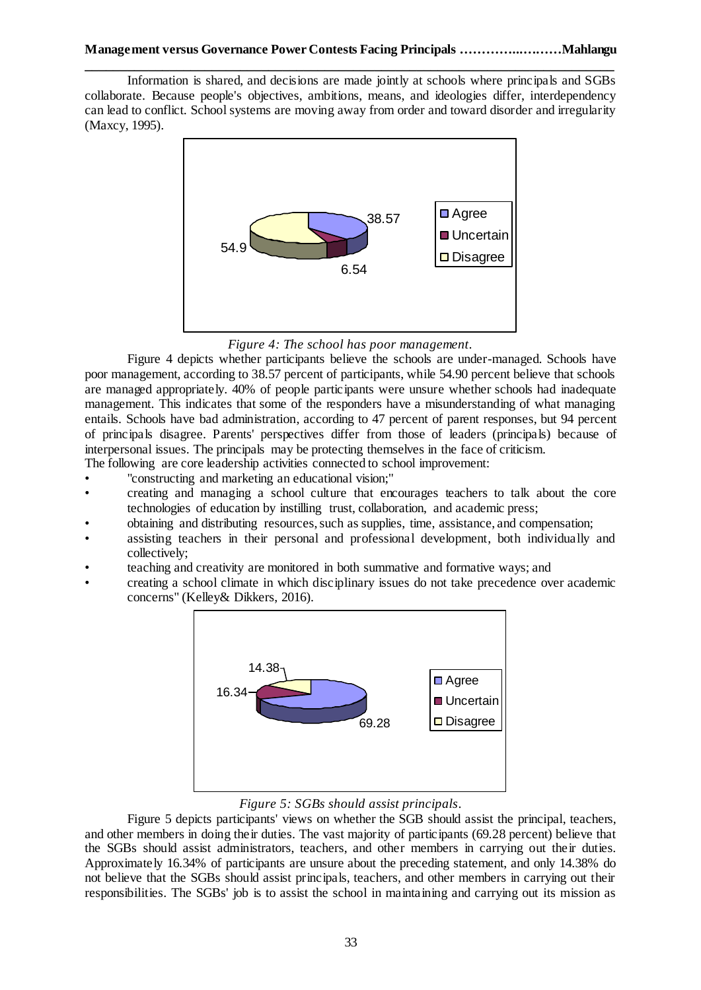Information is shared, and decisions are made jointly at schools where principals and SGBs collaborate. Because people's objectives, ambitions, means, and ideologies differ, interdependency can lead to conflict. School systems are moving away from order and toward disorder and irregularity (Maxcy, 1995).



*Figure 4: The school has poor management.*

Figure 4 depicts whether participants believe the schools are under-managed. Schools have poor management, according to 38.57 percent of participants, while 54.90 percent believe that schools are managed appropriately. 40% of people participants were unsure whether schools had inadequate management. This indicates that some of the responders have a misunderstanding of what managing entails. Schools have bad administration, according to 47 percent of parent responses, but 94 percent of principals disagree. Parents' perspectives differ from those of leaders (principals) because of interpersonal issues. The principals may be protecting themselves in the face of criticism.

The following are core leadership activities connected to school improvement:

- "constructing and marketing an educational vision;"
- creating and managing a school culture that encourages teachers to talk about the core technologies of education by instilling trust, collaboration, and academic press;
- obtaining and distributing resources, such as supplies, time, assistance, and compensation;
- assisting teachers in their personal and professional development, both individually and collectively;
- teaching and creativity are monitored in both summative and formative ways; and
- creating a school climate in which disciplinary issues do not take precedence over academic concerns" (Kelley& Dikkers, 2016).



# *Figure 5: SGBs should assist principals.*

Figure 5 depicts participants' views on whether the SGB should assist the principal, teachers, and other members in doing their duties. The vast majority of participants (69.28 percent) believe that the SGBs should assist administrators, teachers, and other members in carrying out their duties. Approximately 16.34% of participants are unsure about the preceding statement, and only 14.38% do not believe that the SGBs should assist principals, teachers, and other members in carrying out their responsibilities. The SGBs' job is to assist the school in maintaining and carrying out its mission as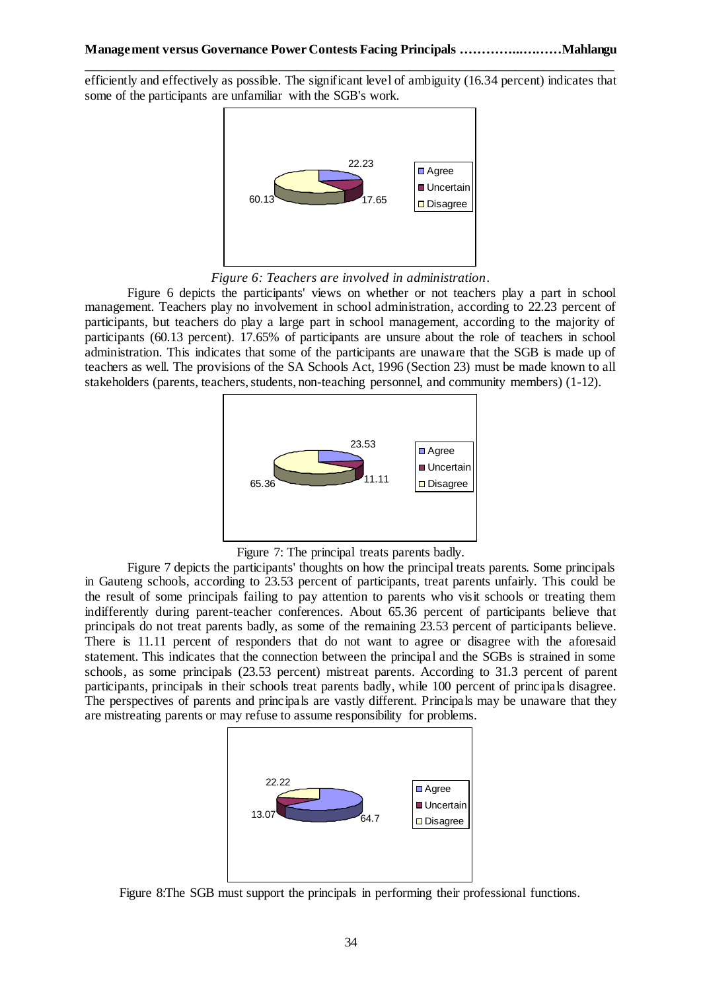efficiently and effectively as possible. The significant level of ambiguity (16.34 percent) indicates that some of the participants are unfamiliar with the SGB's work.



*Figure 6: Teachers are involved in administration.*

Figure 6 depicts the participants' views on whether or not teachers play a part in school management. Teachers play no involvement in school administration, according to 22.23 percent of participants, but teachers do play a large part in school management, according to the majority of participants (60.13 percent). 17.65% of participants are unsure about the role of teachers in school administration. This indicates that some of the participants are unaware that the SGB is made up of teachers as well. The provisions of the SA Schools Act, 1996 (Section 23) must be made known to all stakeholders (parents, teachers, students, non-teaching personnel, and community members) (1-12).



Figure 7: The principal treats parents badly.

Figure 7 depicts the participants' thoughts on how the principal treats parents. Some principals in Gauteng schools, according to 23.53 percent of participants, treat parents unfairly. This could be the result of some principals failing to pay attention to parents who visit schools or treating them indifferently during parent-teacher conferences. About 65.36 percent of participants believe that principals do not treat parents badly, as some of the remaining 23.53 percent of participants believe. There is 11.11 percent of responders that do not want to agree or disagree with the aforesaid statement. This indicates that the connection between the principal and the SGBs is strained in some schools, as some principals (23.53 percent) mistreat parents. According to 31.3 percent of parent participants, principals in their schools treat parents badly, while 100 percent of principals disagree. The perspectives of parents and principals are vastly different. Principals may be unaware that they are mistreating parents or may refuse to assume responsibility for problems.



Figure 8:The SGB must support the principals in performing their professional functions.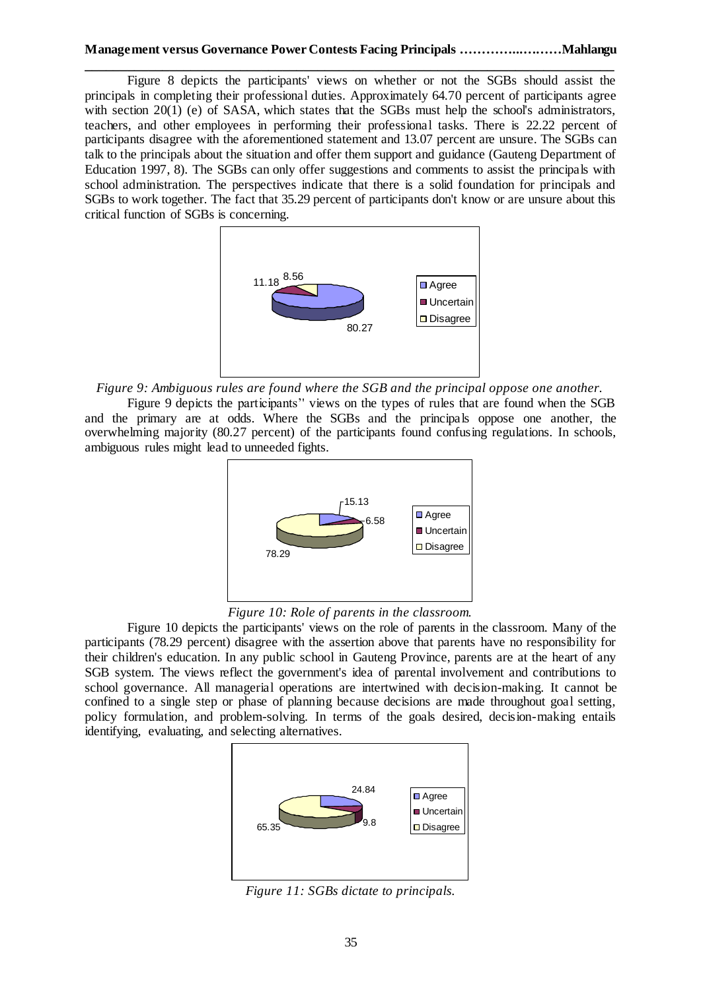#### **Management versus Governance Power Contests Facing Principals …………...………Mahlangu**

**\_\_\_\_\_\_\_\_\_\_\_\_\_\_\_\_\_\_\_\_\_\_\_\_\_\_\_\_\_\_\_\_\_\_\_\_\_\_\_\_\_\_\_\_\_\_\_\_\_\_\_\_\_\_\_\_\_\_\_\_\_\_\_\_\_\_\_\_\_\_\_\_\_\_\_** Figure 8 depicts the participants' views on whether or not the SGBs should assist the principals in completing their professional duties. Approximately 64.70 percent of participants agree with section  $20(1)$  (e) of SASA, which states that the SGBs must help the school's administrators, teachers, and other employees in performing their professional tasks. There is 22.22 percent of participants disagree with the aforementioned statement and 13.07 percent are unsure. The SGBs can talk to the principals about the situation and offer them support and guidance (Gauteng Department of Education 1997, 8). The SGBs can only offer suggestions and comments to assist the principals with school administration. The perspectives indicate that there is a solid foundation for principals and SGBs to work together. The fact that 35.29 percent of participants don't know or are unsure about this critical function of SGBs is concerning.



*Figure 9: Ambiguous rules are found where the SGB and the principal oppose one another.*

Figure 9 depicts the participants'' views on the types of rules that are found when the SGB and the primary are at odds. Where the SGBs and the principals oppose one another, the overwhelming majority (80.27 percent) of the participants found confusing regulations. In schools, ambiguous rules might lead to unneeded fights.



*Figure 10: Role of parents in the classroom.*

Figure 10 depicts the participants' views on the role of parents in the classroom. Many of the participants (78.29 percent) disagree with the assertion above that parents have no responsibility for their children's education. In any public school in Gauteng Province, parents are at the heart of any SGB system. The views reflect the government's idea of parental involvement and contributions to school governance. All managerial operations are intertwined with decision-making. It cannot be confined to a single step or phase of planning because decisions are made throughout goal setting, policy formulation, and problem-solving. In terms of the goals desired, decision-making entails identifying, evaluating, and selecting alternatives.



*Figure 11: SGBs dictate to principals.*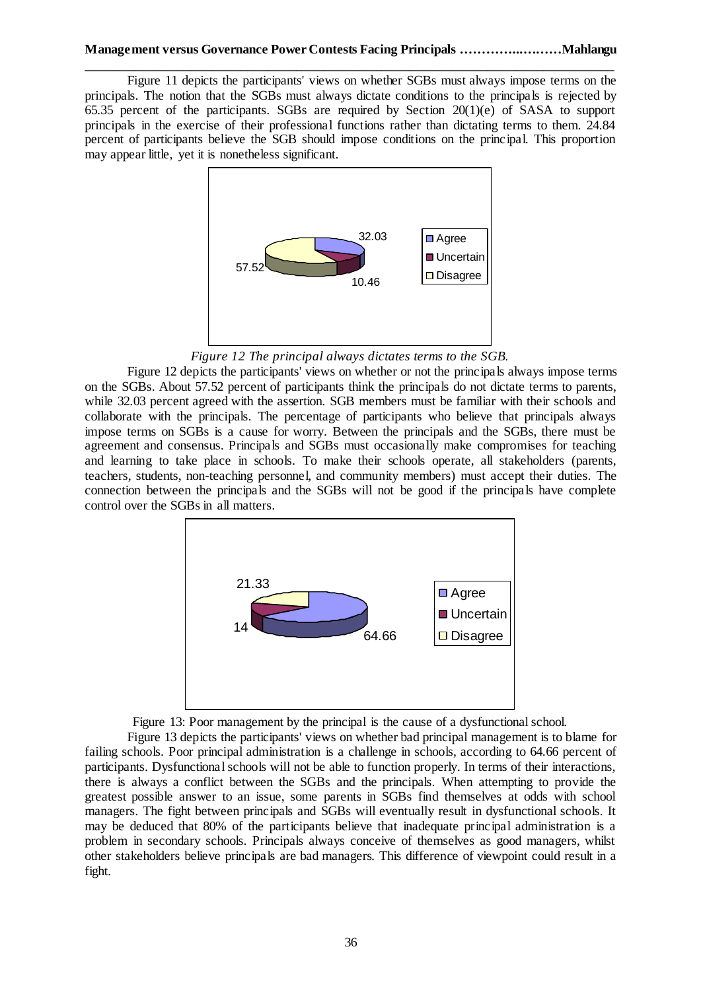Figure 11 depicts the participants' views on whether SGBs must always impose terms on the principals. The notion that the SGBs must always dictate conditions to the principals is rejected by 65.35 percent of the participants. SGBs are required by Section 20(1)(e) of SASA to support principals in the exercise of their professional functions rather than dictating terms to them. 24.84 percent of participants believe the SGB should impose conditions on the principal. This proportion may appear little, yet it is nonetheless significant.



*Figure 12 The principal always dictates terms to the SGB.*

Figure 12 depicts the participants' views on whether or not the principals always impose terms on the SGBs. About 57.52 percent of participants think the principals do not dictate terms to parents, while 32.03 percent agreed with the assertion. SGB members must be familiar with their schools and collaborate with the principals. The percentage of participants who believe that principals always impose terms on SGBs is a cause for worry. Between the principals and the SGBs, there must be agreement and consensus. Principals and SGBs must occasionally make compromises for teaching and learning to take place in schools. To make their schools operate, all stakeholders (parents, teachers, students, non-teaching personnel, and community members) must accept their duties. The connection between the principals and the SGBs will not be good if the principals have complete control over the SGBs in all matters.



Figure 13: Poor management by the principal is the cause of a dysfunctional school.

Figure 13 depicts the participants' views on whether bad principal management is to blame for failing schools. Poor principal administration is a challenge in schools, according to 64.66 percent of participants. Dysfunctional schools will not be able to function properly. In terms of their interactions, there is always a conflict between the SGBs and the principals. When attempting to provide the greatest possible answer to an issue, some parents in SGBs find themselves at odds with school managers. The fight between principals and SGBs will eventually result in dysfunctional schools. It may be deduced that 80% of the participants believe that inadequate principal administration is a problem in secondary schools. Principals always conceive of themselves as good managers, whilst other stakeholders believe principals are bad managers. This difference of viewpoint could result in a fight.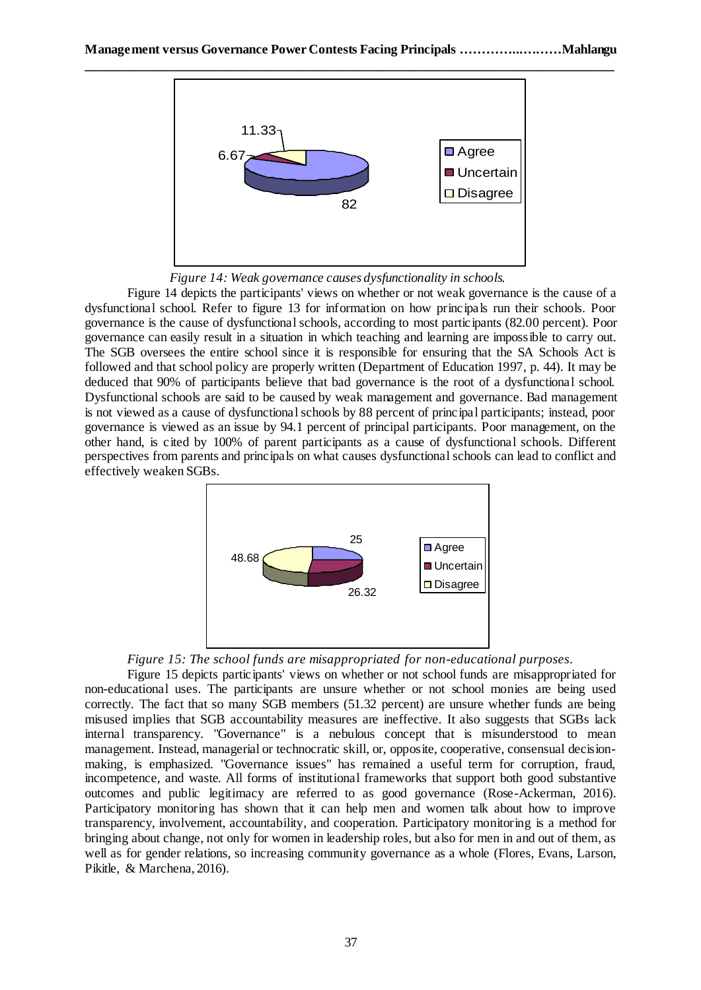

*Figure 14: Weak governance causes dysfunctionality in schools.*

Figure 14 depicts the participants' views on whether or not weak governance is the cause of a dysfunctional school. Refer to figure 13 for information on how principals run their schools. Poor governance is the cause of dysfunctional schools, according to most participants (82.00 percent). Poor governance can easily result in a situation in which teaching and learning are impossible to carry out. The SGB oversees the entire school since it is responsible for ensuring that the SA Schools Act is followed and that school policy are properly written (Department of Education 1997, p. 44). It may be deduced that 90% of participants believe that bad governance is the root of a dysfunctional school. Dysfunctional schools are said to be caused by weak management and governance. Bad management is not viewed as a cause of dysfunctional schools by 88 percent of principal participants; instead, poor governance is viewed as an issue by 94.1 percent of principal participants. Poor management, on the other hand, is cited by 100% of parent participants as a cause of dysfunctional schools. Different perspectives from parents and principals on what causes dysfunctional schools can lead to conflict and effectively weaken SGBs.



### *Figure 15: The school funds are misappropriated for non-educational purposes.*

Figure 15 depicts participants' views on whether or not school funds are misappropriated for non-educational uses. The participants are unsure whether or not school monies are being used correctly. The fact that so many SGB members (51.32 percent) are unsure whether funds are being misused implies that SGB accountability measures are ineffective. It also suggests that SGBs lack internal transparency. "Governance" is a nebulous concept that is misunderstood to mean management. Instead, managerial or technocratic skill, or, opposite, cooperative, consensual decisionmaking, is emphasized. "Governance issues" has remained a useful term for corruption, fraud, incompetence, and waste. All forms of institutional frameworks that support both good substantive outcomes and public legitimacy are referred to as good governance (Rose-Ackerman, 2016). Participatory monitoring has shown that it can help men and women talk about how to improve transparency, involvement, accountability, and cooperation. Participatory monitoring is a method for bringing about change, not only for women in leadership roles, but also for men in and out of them, as well as for gender relations, so increasing community governance as a whole (Flores, Evans, Larson, Pikitle, & Marchena, 2016).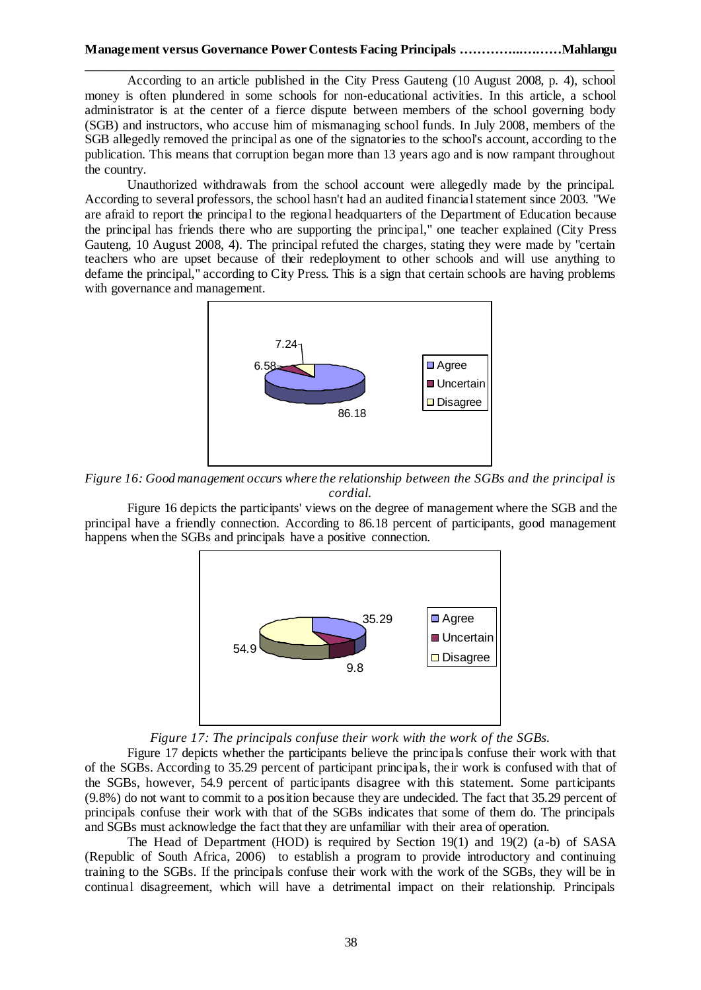According to an article published in the City Press Gauteng (10 August 2008, p. 4), school money is often plundered in some schools for non-educational activities. In this article, a school administrator is at the center of a fierce dispute between members of the school governing body (SGB) and instructors, who accuse him of mismanaging school funds. In July 2008, members of the SGB allegedly removed the principal as one of the signatories to the school's account, according to the publication. This means that corruption began more than 13 years ago and is now rampant throughout the country.

Unauthorized withdrawals from the school account were allegedly made by the principal. According to several professors, the school hasn't had an audited financial statement since 2003. "We are afraid to report the principal to the regional headquarters of the Department of Education because the principal has friends there who are supporting the principal," one teacher explained (City Press Gauteng, 10 August 2008, 4). The principal refuted the charges, stating they were made by "certain teachers who are upset because of their redeployment to other schools and will use anything to defame the principal," according to City Press. This is a sign that certain schools are having problems with governance and management.



*Figure 16: Good management occurs where the relationship between the SGBs and the principal is cordial.*

Figure 16 depicts the participants' views on the degree of management where the SGB and the principal have a friendly connection. According to 86.18 percent of participants, good management happens when the SGBs and principals have a positive connection.



*Figure 17: The principals confuse their work with the work of the SGBs.*

Figure 17 depicts whether the participants believe the principals confuse their work with that of the SGBs. According to 35.29 percent of participant principals, their work is confused with that of the SGBs, however, 54.9 percent of participants disagree with this statement. Some participants (9.8%) do not want to commit to a position because they are undecided. The fact that 35.29 percent of principals confuse their work with that of the SGBs indicates that some of them do. The principals and SGBs must acknowledge the fact that they are unfamiliar with their area of operation.

The Head of Department (HOD) is required by Section 19(1) and 19(2) (a-b) of SASA (Republic of South Africa, 2006) to establish a program to provide introductory and continuing training to the SGBs. If the principals confuse their work with the work of the SGBs, they will be in continual disagreement, which will have a detrimental impact on their relationship. Principals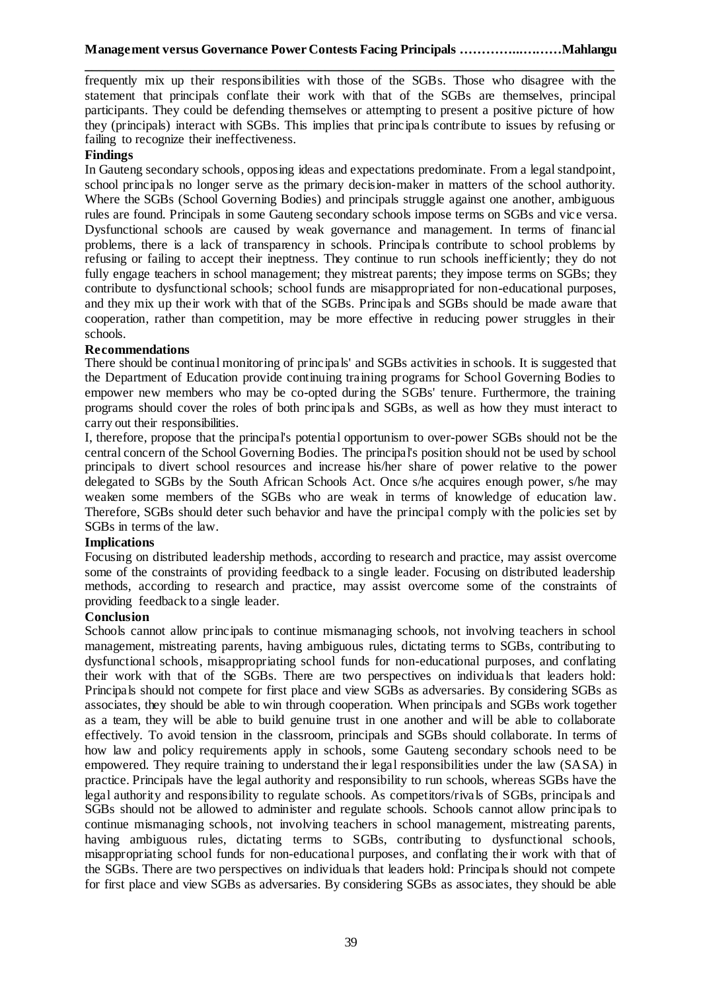frequently mix up their responsibilities with those of the SGBs. Those who disagree with the statement that principals conflate their work with that of the SGBs are themselves, principal participants. They could be defending themselves or attempting to present a positive picture of how they (principals) interact with SGBs. This implies that principals contribute to issues by refusing or failing to recognize their ineffectiveness.

## **Findings**

In Gauteng secondary schools, opposing ideas and expectations predominate. From a legal standpoint, school principals no longer serve as the primary decision-maker in matters of the school authority. Where the SGBs (School Governing Bodies) and principals struggle against one another, ambiguous rules are found. Principals in some Gauteng secondary schools impose terms on SGBs and vice versa. Dysfunctional schools are caused by weak governance and management. In terms of financial problems, there is a lack of transparency in schools. Principals contribute to school problems by refusing or failing to accept their ineptness. They continue to run schools inefficiently; they do not fully engage teachers in school management; they mistreat parents; they impose terms on SGBs; they contribute to dysfunctional schools; school funds are misappropriated for non-educational purposes, and they mix up their work with that of the SGBs. Principals and SGBs should be made aware that cooperation, rather than competition, may be more effective in reducing power struggles in their schools.

### **Recommendations**

There should be continual monitoring of principals' and SGBs activities in schools. It is suggested that the Department of Education provide continuing training programs for School Governing Bodies to empower new members who may be co-opted during the SGBs' tenure. Furthermore, the training programs should cover the roles of both principals and SGBs, as well as how they must interact to carry out their responsibilities.

I, therefore, propose that the principal's potential opportunism to over-power SGBs should not be the central concern of the School Governing Bodies. The principal's position should not be used by school principals to divert school resources and increase his/her share of power relative to the power delegated to SGBs by the South African Schools Act. Once s/he acquires enough power, s/he may weaken some members of the SGBs who are weak in terms of knowledge of education law. Therefore, SGBs should deter such behavior and have the principal comply with the policies set by SGBs in terms of the law.

### **Implications**

Focusing on distributed leadership methods, according to research and practice, may assist overcome some of the constraints of providing feedback to a single leader. Focusing on distributed leadership methods, according to research and practice, may assist overcome some of the constraints of providing feedback to a single leader.

### **Conclusion**

Schools cannot allow principals to continue mismanaging schools, not involving teachers in school management, mistreating parents, having ambiguous rules, dictating terms to SGBs, contributing to dysfunctional schools, misappropriating school funds for non-educational purposes, and conflating their work with that of the SGBs. There are two perspectives on individuals that leaders hold: Principals should not compete for first place and view SGBs as adversaries. By considering SGBs as associates, they should be able to win through cooperation. When principals and SGBs work together as a team, they will be able to build genuine trust in one another and will be able to collaborate effectively. To avoid tension in the classroom, principals and SGBs should collaborate. In terms of how law and policy requirements apply in schools, some Gauteng secondary schools need to be empowered. They require training to understand their legal responsibilities under the law (SASA) in practice. Principals have the legal authority and responsibility to run schools, whereas SGBs have the legal authority and responsibility to regulate schools. As competitors/rivals of SGBs, principals and SGBs should not be allowed to administer and regulate schools. Schools cannot allow principals to continue mismanaging schools, not involving teachers in school management, mistreating parents, having ambiguous rules, dictating terms to SGBs, contributing to dysfunctional schools, misappropriating school funds for non-educational purposes, and conflating their work with that of the SGBs. There are two perspectives on individuals that leaders hold: Principals should not compete for first place and view SGBs as adversaries. By considering SGBs as associates, they should be able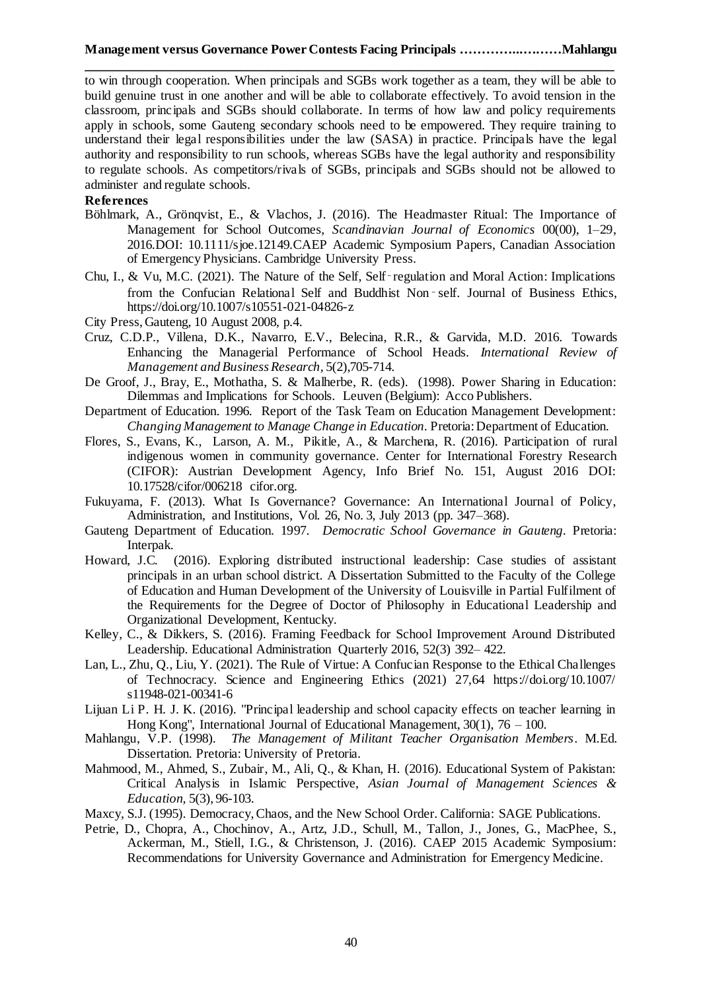**\_\_\_\_\_\_\_\_\_\_\_\_\_\_\_\_\_\_\_\_\_\_\_\_\_\_\_\_\_\_\_\_\_\_\_\_\_\_\_\_\_\_\_\_\_\_\_\_\_\_\_\_\_\_\_\_\_\_\_\_\_\_\_\_\_\_\_\_\_\_\_\_\_\_\_** to win through cooperation. When principals and SGBs work together as a team, they will be able to build genuine trust in one another and will be able to collaborate effectively. To avoid tension in the classroom, principals and SGBs should collaborate. In terms of how law and policy requirements apply in schools, some Gauteng secondary schools need to be empowered. They require training to understand their legal responsibilities under the law (SASA) in practice. Principals have the legal authority and responsibility to run schools, whereas SGBs have the legal authority and responsibility to regulate schools. As competitors/rivals of SGBs, principals and SGBs should not be allowed to administer and regulate schools.

## **References**

- Böhlmark, A., Grönqvist, E., & Vlachos, J. (2016). The Headmaster Ritual: The Importance of Management for School Outcomes, *Scandinavian Journal of Economics* 00(00), 1–29, 2016.DOI: 10.1111/sjoe.12149.CAEP Academic Symposium Papers, Canadian Association of Emergency Physicians. Cambridge University Press.
- Chu, I., & Vu, M.C. (2021). The Nature of the Self, Self‑regulation and Moral Action: Implications from the Confucian Relational Self and Buddhist Non-self. Journal of Business Ethics, https://doi.org/10.1007/s10551-021-04826-z
- City Press, Gauteng, 10 August 2008, p.4.
- Cruz, C.D.P., Villena, D.K., Navarro, E.V., Belecina, R.R., & Garvida, M.D. 2016. Towards Enhancing the Managerial Performance of School Heads. *International Review of Management and Business Research,* 5(2),705-714.
- De Groof, J., Bray, E., Mothatha, S. & Malherbe, R. (eds). (1998). Power Sharing in Education: Dilemmas and Implications for Schools*.* Leuven (Belgium): Acco Publishers.
- Department of Education. 1996. Report of the Task Team on Education Management Development: *Changing Management to Manage Change in Education*. Pretoria: Department of Education.
- Flores, S., Evans, K., Larson, A. M., Pikitle, A., & Marchena, R. (2016). Participation of rural indigenous women in community governance. Center for International Forestry Research (CIFOR): Austrian Development Agency, Info Brief No. 151, August 2016 DOI: 10.17528/cifor/006218 cifor.org.
- Fukuyama, F. (2013). What Is Governance? Governance: An International Journal of Policy, Administration, and Institutions, Vol. 26, No. 3, July 2013 (pp. 347–368).
- Gauteng Department of Education. 1997. *Democratic School Governance in Gauteng.* Pretoria: Interpak.
- Howard, J.C. (2016). Exploring distributed instructional leadership: Case studies of assistant principals in an urban school district. A Dissertation Submitted to the Faculty of the College of Education and Human Development of the University of Louisville in Partial Fulfilment of the Requirements for the Degree of Doctor of Philosophy in Educational Leadership and Organizational Development, Kentucky.
- Kelley, C., & Dikkers, S. (2016). Framing Feedback for School Improvement Around Distributed Leadership. Educational Administration Quarterly 2016, 52(3) 392– 422.
- Lan, L., Zhu, Q., Liu, Y. (2021). The Rule of Virtue: A Confucian Response to the Ethical Challenges of Technocracy. Science and Engineering Ethics (2021) 27,64 https://doi.org/10.1007/ s11948-021-00341-6
- Lijuan Li P. H. J. K. (2016). "Principal leadership and school capacity effects on teacher learning in Hong Kong", International Journal of Educational Management, 30(1), 76 – 100.
- Mahlangu, V.P. (1998). *The Management of Militant Teacher Organisation Members*. M.Ed. Dissertation. Pretoria: University of Pretoria.
- Mahmood, M., Ahmed, S., Zubair, M., Ali, Q., & Khan, H. (2016). Educational System of Pakistan: Critical Analysis in Islamic Perspective, *Asian Journal of Management Sciences & Education,* 5(3), 96-103.
- Maxcy, S.J. (1995). Democracy, Chaos, and the New School Order. California: SAGE Publications.
- Petrie, D., Chopra, A., Chochinov, A., Artz, J.D., Schull, M., Tallon, J., Jones, G., MacPhee, S., Ackerman, M., Stiell, I.G., & Christenson, J. (2016). CAEP 2015 Academic Symposium: Recommendations for University Governance and Administration for Emergency Medicine.